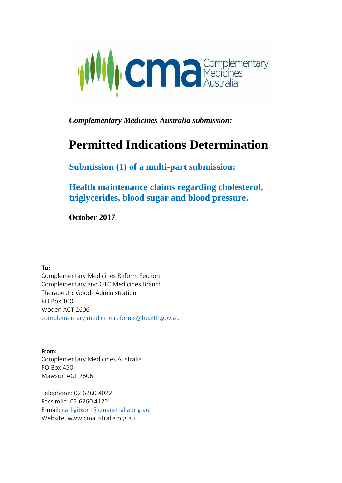

*Complementary Medicines Australia submission:*

# **Permitted Indications Determination**

**Submission (1) of a multi-part submission:**

**Health maintenance claims regarding cholesterol, triglycerides, blood sugar and blood pressure.**

**October 2017**

**To:**

Complementary Medicines Reform Section Complementary and OTC Medicines Branch Therapeutic Goods Administration PO Box 100 Woden ACT 2606 [complementary.medicine.reforms@health.gov.au](mailto:complementary.medicine.reforms@health.gov.au)

**From:** Complementary Medicines Australia PO Box 450 Mawson ACT 2606

Telephone: 02 6260 4022 Facsimile: 02 6260 4122 E-mail: [carl.gibson@cmaustralia.org.au](mailto:carl.gibson@cmaustralia.org.au)  Website: [www.cmaustralia.org.au](http://www.cmaustralia.org.au/)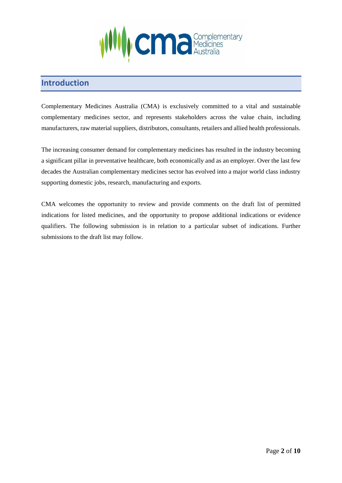

## **Introduction**

Complementary Medicines Australia (CMA) is exclusively committed to a vital and sustainable complementary medicines sector, and represents stakeholders across the value chain, including manufacturers, raw material suppliers, distributors, consultants, retailers and allied health professionals.

The increasing consumer demand for complementary medicines has resulted in the industry becoming a significant pillar in preventative healthcare, both economically and as an employer. Over the last few decades the Australian complementary medicines sector has evolved into a major world class industry supporting domestic jobs, research, manufacturing and exports.

CMA welcomes the opportunity to review and provide comments on the draft list of permitted indications for listed medicines, and the opportunity to propose additional indications or evidence qualifiers. The following submission is in relation to a particular subset of indications. Further submissions to the draft list may follow.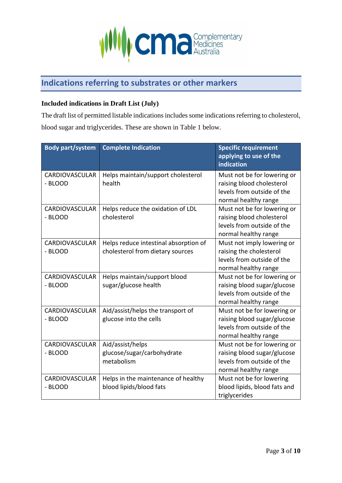

# **Indications referring to substrates or other markers**

#### **Included indications in Draft List (July)**

The draft list of permitted listable indications includes some indications referring to cholesterol, blood sugar and triglycerides. These are shown in Table 1 below.

| <b>Body part/system</b>          | <b>Complete Indication</b>                                                | <b>Specific requirement</b><br>applying to use of the<br>indication                                              |
|----------------------------------|---------------------------------------------------------------------------|------------------------------------------------------------------------------------------------------------------|
| CARDIOVASCULAR<br>- BLOOD        | Helps maintain/support cholesterol<br>health                              | Must not be for lowering or<br>raising blood cholesterol<br>levels from outside of the<br>normal healthy range   |
| <b>CARDIOVASCULAR</b><br>- BLOOD | Helps reduce the oxidation of LDL<br>cholesterol                          | Must not be for lowering or<br>raising blood cholesterol<br>levels from outside of the<br>normal healthy range   |
| CARDIOVASCULAR<br>- BLOOD        | Helps reduce intestinal absorption of<br>cholesterol from dietary sources | Must not imply lowering or<br>raising the cholesterol<br>levels from outside of the<br>normal healthy range      |
| <b>CARDIOVASCULAR</b><br>- BLOOD | Helps maintain/support blood<br>sugar/glucose health                      | Must not be for lowering or<br>raising blood sugar/glucose<br>levels from outside of the<br>normal healthy range |
| CARDIOVASCULAR<br>- BLOOD        | Aid/assist/helps the transport of<br>glucose into the cells               | Must not be for lowering or<br>raising blood sugar/glucose<br>levels from outside of the<br>normal healthy range |
| CARDIOVASCULAR<br>- BLOOD        | Aid/assist/helps<br>glucose/sugar/carbohydrate<br>metabolism              | Must not be for lowering or<br>raising blood sugar/glucose<br>levels from outside of the<br>normal healthy range |
| <b>CARDIOVASCULAR</b><br>- BLOOD | Helps in the maintenance of healthy<br>blood lipids/blood fats            | Must not be for lowering<br>blood lipids, blood fats and<br>triglycerides                                        |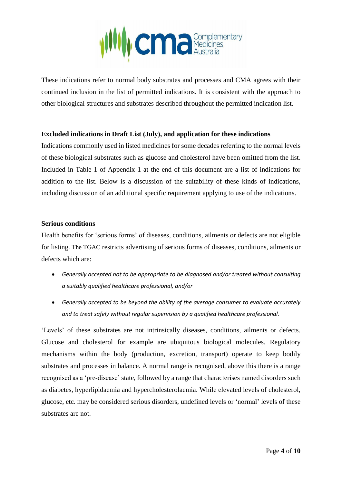

These indications refer to normal body substrates and processes and CMA agrees with their continued inclusion in the list of permitted indications. It is consistent with the approach to other biological structures and substrates described throughout the permitted indication list.

#### **Excluded indications in Draft List (July), and application for these indications**

Indications commonly used in listed medicines for some decades referring to the normal levels of these biological substrates such as glucose and cholesterol have been omitted from the list. Included in Table 1 of Appendix 1 at the end of this document are a list of indications for addition to the list. Below is a discussion of the suitability of these kinds of indications, including discussion of an additional specific requirement applying to use of the indications.

#### **Serious conditions**

Health benefits for 'serious forms' of diseases, conditions, ailments or defects are not eligible for listing. The TGAC restricts advertising of serious forms of diseases, conditions, ailments or defects which are:

- *Generally accepted not to be appropriate to be diagnosed and/or treated without consulting a suitably qualified healthcare professional, and/or*
- *Generally accepted to be beyond the ability of the average consumer to evaluate accurately and to treat safely without regular supervision by a qualified healthcare professional.*

'Levels' of these substrates are not intrinsically diseases, conditions, ailments or defects. Glucose and cholesterol for example are ubiquitous biological molecules. Regulatory mechanisms within the body (production, excretion, transport) operate to keep bodily substrates and processes in balance. A normal range is recognised, above this there is a range recognised as a 'pre-disease' state, followed by a range that characterises named disorders such as diabetes, hyperlipidaemia and hypercholesterolaemia. While elevated levels of cholesterol, glucose, etc. may be considered serious disorders, undefined levels or 'normal' levels of these substrates are not.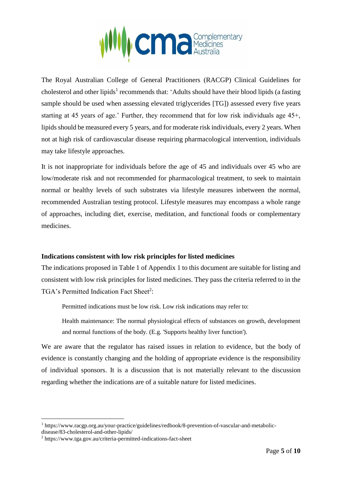

The Royal Australian College of General Practitioners (RACGP) Clinical Guidelines for cholesterol and other lipids<sup>1</sup> recommends that: 'Adults should have their blood lipids (a fasting sample should be used when assessing elevated triglycerides [TG]) assessed every five years starting at 45 years of age.' Further, they recommend that for low risk individuals age 45+, lipids should be measured every 5 years, and for moderate risk individuals, every 2 years. When not at high risk of cardiovascular disease requiring pharmacological intervention, individuals may take lifestyle approaches.

It is not inappropriate for individuals before the age of 45 and individuals over 45 who are low/moderate risk and not recommended for pharmacological treatment, to seek to maintain normal or healthy levels of such substrates via lifestyle measures inbetween the normal, recommended Australian testing protocol. Lifestyle measures may encompass a whole range of approaches, including diet, exercise, meditation, and functional foods or complementary medicines.

#### **Indications consistent with low risk principles for listed medicines**

The indications proposed in Table 1 of Appendix 1 to this document are suitable for listing and consistent with low risk principles for listed medicines. They pass the criteria referred to in the TGA's Permitted Indication Fact Sheet<sup>2</sup>:

Permitted indications must be low risk. Low risk indications may refer to:

Health maintenance: The normal physiological effects of substances on growth, development and normal functions of the body. (E.g. 'Supports healthy liver function').

We are aware that the regulator has raised issues in relation to evidence, but the body of evidence is constantly changing and the holding of appropriate evidence is the responsibility of individual sponsors. It is a discussion that is not materially relevant to the discussion regarding whether the indications are of a suitable nature for listed medicines.

<u>.</u>

<sup>1</sup> https://www.racgp.org.au/your-practice/guidelines/redbook/8-prevention-of-vascular-and-metabolic-

disease/83-cholesterol-and-other-lipids/

<sup>2</sup> https://www.tga.gov.au/criteria-permitted-indications-fact-sheet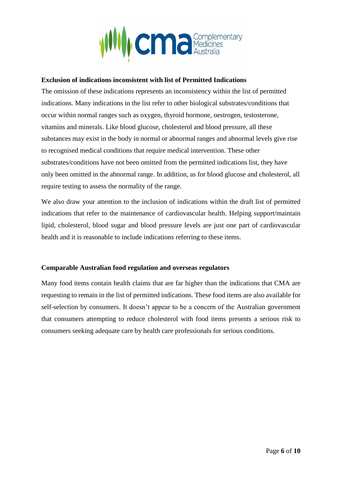

#### **Exclusion of indications inconsistent with list of Permitted Indications**

The omission of these indications represents an inconsistency within the list of permitted indications. Many indications in the list refer to other biological substrates/conditions that occur within normal ranges such as oxygen, thyroid hormone, oestrogen, testosterone, vitamins and minerals. Like blood glucose, cholesterol and blood pressure, all these substances may exist in the body in normal or abnormal ranges and abnormal levels give rise to recognised medical conditions that require medical intervention. These other substrates/conditions have not been omitted from the permitted indications list, they have only been omitted in the abnormal range. In addition, as for blood glucose and cholesterol, all require testing to assess the normality of the range.

We also draw your attention to the inclusion of indications within the draft list of permitted indications that refer to the maintenance of cardiovascular health. Helping support/maintain lipid, cholesterol, blood sugar and blood pressure levels are just one part of cardiovascular health and it is reasonable to include indications referring to these items.

#### **Comparable Australian food regulation and overseas regulators**

Many food items contain health claims that are far higher than the indications that CMA are requesting to remain in the list of permitted indications. These food items are also available for self-selection by consumers. It doesn't appear to be a concern of the Australian government that consumers attempting to reduce cholesterol with food items presents a serious risk to consumers seeking adequate care by health care professionals for serious conditions.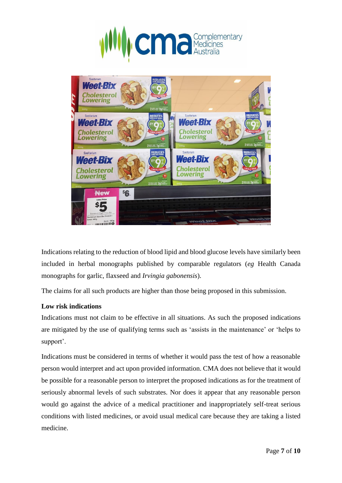



Indications relating to the reduction of blood lipid and blood glucose levels have similarly been included in herbal monographs published by comparable regulators (*eg* Health Canada monographs for garlic, flaxseed and *Irvingia gabonensis*).

The claims for all such products are higher than those being proposed in this submission.

#### **Low risk indications**

Indications must not claim to be effective in all situations. As such the proposed indications are mitigated by the use of qualifying terms such as 'assists in the maintenance' or 'helps to support'.

Indications must be considered in terms of whether it would pass the test of how a reasonable person would interpret and act upon provided information. CMA does not believe that it would be possible for a reasonable person to interpret the proposed indications as for the treatment of seriously abnormal levels of such substrates. Nor does it appear that any reasonable person would go against the advice of a medical practitioner and inappropriately self-treat serious conditions with listed medicines, or avoid usual medical care because they are taking a listed medicine.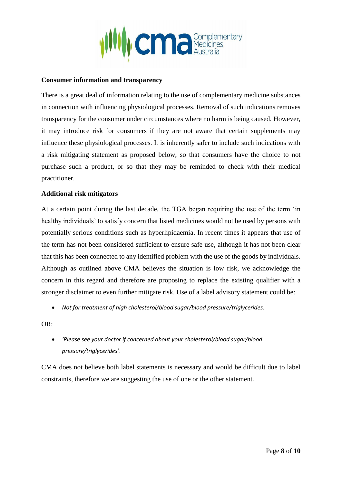

#### **Consumer information and transparency**

There is a great deal of information relating to the use of complementary medicine substances in connection with influencing physiological processes. Removal of such indications removes transparency for the consumer under circumstances where no harm is being caused. However, it may introduce risk for consumers if they are not aware that certain supplements may influence these physiological processes. It is inherently safer to include such indications with a risk mitigating statement as proposed below, so that consumers have the choice to not purchase such a product, or so that they may be reminded to check with their medical practitioner.

#### **Additional risk mitigators**

At a certain point during the last decade, the TGA began requiring the use of the term 'in healthy individuals' to satisfy concern that listed medicines would not be used by persons with potentially serious conditions such as hyperlipidaemia. In recent times it appears that use of the term has not been considered sufficient to ensure safe use, although it has not been clear that this has been connected to any identified problem with the use of the goods by individuals. Although as outlined above CMA believes the situation is low risk, we acknowledge the concern in this regard and therefore are proposing to replace the existing qualifier with a stronger disclaimer to even further mitigate risk. Use of a label advisory statement could be:

• *Not for treatment of high cholesterol/blood sugar/blood pressure/triglycerides.*

OR:

• *'Please see your doctor if concerned about your cholesterol/blood sugar/blood pressure/triglycerides*'.

CMA does not believe both label statements is necessary and would be difficult due to label constraints, therefore we are suggesting the use of one or the other statement.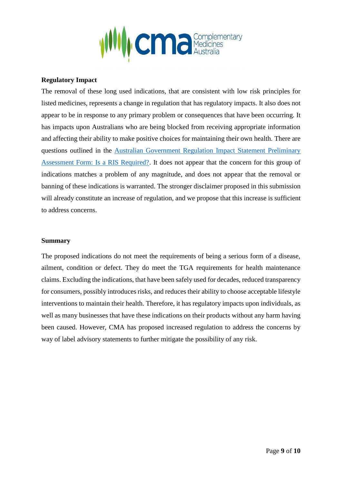

#### **Regulatory Impact**

The removal of these long used indications, that are consistent with low risk principles for listed medicines, represents a change in regulation that has regulatory impacts. It also does not appear to be in response to any primary problem or consequences that have been occurring. It has impacts upon Australians who are being blocked from receiving appropriate information and affecting their ability to make positive choices for maintaining their own health. There are questions outlined in the [Australian Government Regulation Impact Statement Preliminary](https://www.pmc.gov.au/sites/default/files/publications/003-AG-Preliminary-Assessment-Form.pdf)  [Assessment Form: Is a RIS Required?.](https://www.pmc.gov.au/sites/default/files/publications/003-AG-Preliminary-Assessment-Form.pdf) It does not appear that the concern for this group of indications matches a problem of any magnitude, and does not appear that the removal or banning of these indications is warranted. The stronger disclaimer proposed in this submission will already constitute an increase of regulation, and we propose that this increase is sufficient to address concerns.

#### **Summary**

The proposed indications do not meet the requirements of being a serious form of a disease, ailment, condition or defect. They do meet the TGA requirements for health maintenance claims. Excluding the indications, that have been safely used for decades, reduced transparency for consumers, possibly introduces risks, and reduces their ability to choose acceptable lifestyle interventions to maintain their health. Therefore, it has regulatory impacts upon individuals, as well as many businesses that have these indications on their products without any harm having been caused. However, CMA has proposed increased regulation to address the concerns by way of label advisory statements to further mitigate the possibility of any risk.